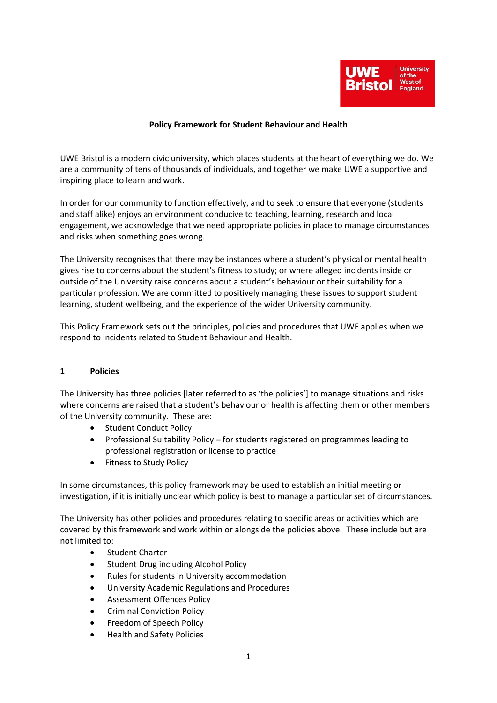

### **Policy Framework for Student Behaviour and Health**

UWE Bristol is a modern civic university, which places students at the heart of everything we do. We are a community of tens of thousands of individuals, and together we make UWE a supportive and inspiring place to learn and work.

In order for our community to function effectively, and to seek to ensure that everyone (students and staff alike) enjoys an environment conducive to teaching, learning, research and local engagement, we acknowledge that we need appropriate policies in place to manage circumstances and risks when something goes wrong.

The University recognises that there may be instances where a student's physical or mental health gives rise to concerns about the student's fitness to study; or where alleged incidents inside or outside of the University raise concerns about a student's behaviour or their suitability for a particular profession. We are committed to positively managing these issues to support student learning, student wellbeing, and the experience of the wider University community.

This Policy Framework sets out the principles, policies and procedures that UWE applies when we respond to incidents related to Student Behaviour and Health.

#### **1 Policies**

The University has three policies [later referred to as 'the policies'] to manage situations and risks where concerns are raised that a student's behaviour or health is affecting them or other members of the University community. These are:

- Student Conduct Policy
- Professional Suitability Policy for students registered on programmes leading to professional registration or license to practice
- Fitness to Study Policy

In some circumstances, this policy framework may be used to establish an initial meeting or investigation, if it is initially unclear which policy is best to manage a particular set of circumstances.

The University has other policies and procedures relating to specific areas or activities which are covered by this framework and work within or alongside the policies above. These include but are not limited to:

- Student Charter
- Student Drug including Alcohol Policy
- Rules for students in University accommodation
- University Academic Regulations and Procedures
- Assessment Offences Policy
- Criminal Conviction Policy
- Freedom of Speech Policy
- Health and Safety Policies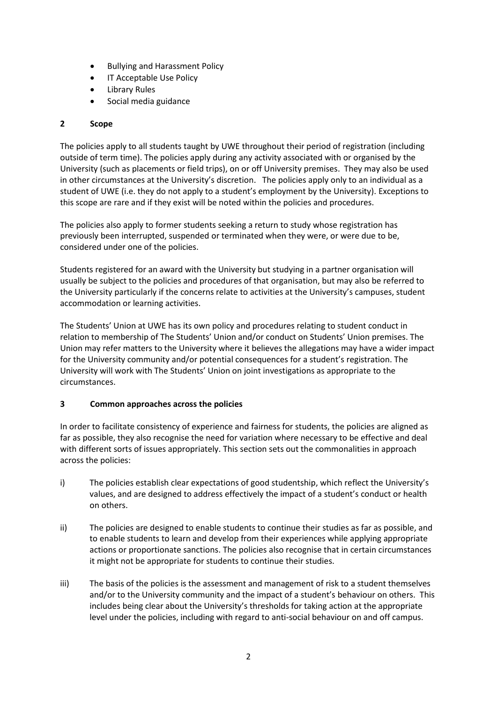- Bullying and Harassment Policy
- **IT Acceptable Use Policy**
- Library Rules
- Social media guidance

# **2 Scope**

The policies apply to all students taught by UWE throughout their period of registration (including outside of term time). The policies apply during any activity associated with or organised by the University (such as placements or field trips), on or off University premises. They may also be used in other circumstances at the University's discretion. The policies apply only to an individual as a student of UWE (i.e. they do not apply to a student's employment by the University). Exceptions to this scope are rare and if they exist will be noted within the policies and procedures.

The policies also apply to former students seeking a return to study whose registration has previously been interrupted, suspended or terminated when they were, or were due to be, considered under one of the policies.

Students registered for an award with the University but studying in a partner organisation will usually be subject to the policies and procedures of that organisation, but may also be referred to the University particularly if the concerns relate to activities at the University's campuses, student accommodation or learning activities.

The Students' Union at UWE has its own policy and procedures relating to student conduct in relation to membership of The Students' Union and/or conduct on Students' Union premises. The Union may refer matters to the University where it believes the allegations may have a wider impact for the University community and/or potential consequences for a student's registration. The University will work with The Students' Union on joint investigations as appropriate to the circumstances.

# **3 Common approaches across the policies**

In order to facilitate consistency of experience and fairness for students, the policies are aligned as far as possible, they also recognise the need for variation where necessary to be effective and deal with different sorts of issues appropriately. This section sets out the commonalities in approach across the policies:

- i) The policies establish clear expectations of good studentship, which reflect the University's values, and are designed to address effectively the impact of a student's conduct or health on others.
- ii) The policies are designed to enable students to continue their studies as far as possible, and to enable students to learn and develop from their experiences while applying appropriate actions or proportionate sanctions. The policies also recognise that in certain circumstances it might not be appropriate for students to continue their studies.
- iii) The basis of the policies is the assessment and management of risk to a student themselves and/or to the University community and the impact of a student's behaviour on others. This includes being clear about the University's thresholds for taking action at the appropriate level under the policies, including with regard to anti-social behaviour on and off campus.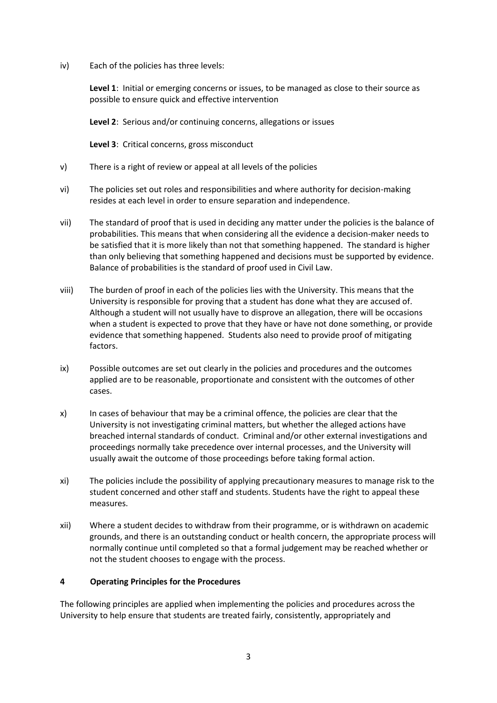iv) Each of the policies has three levels:

**Level 1**: Initial or emerging concerns or issues, to be managed as close to their source as possible to ensure quick and effective intervention

**Level 2**: Serious and/or continuing concerns, allegations or issues

**Level 3**: Critical concerns, gross misconduct

- v) There is a right of review or appeal at all levels of the policies
- vi) The policies set out roles and responsibilities and where authority for decision-making resides at each level in order to ensure separation and independence.
- vii) The standard of proof that is used in deciding any matter under the policies is the balance of probabilities. This means that when considering all the evidence a decision-maker needs to be satisfied that it is more likely than not that something happened. The standard is higher than only believing that something happened and decisions must be supported by evidence. Balance of probabilities is the standard of proof used in Civil Law.
- viii) The burden of proof in each of the policies lies with the University. This means that the University is responsible for proving that a student has done what they are accused of. Although a student will not usually have to disprove an allegation, there will be occasions when a student is expected to prove that they have or have not done something, or provide evidence that something happened. Students also need to provide proof of mitigating factors.
- ix) Possible outcomes are set out clearly in the policies and procedures and the outcomes applied are to be reasonable, proportionate and consistent with the outcomes of other cases.
- x) In cases of behaviour that may be a criminal offence, the policies are clear that the University is not investigating criminal matters, but whether the alleged actions have breached internal standards of conduct. Criminal and/or other external investigations and proceedings normally take precedence over internal processes, and the University will usually await the outcome of those proceedings before taking formal action.
- xi) The policies include the possibility of applying precautionary measures to manage risk to the student concerned and other staff and students. Students have the right to appeal these measures.
- xii) Where a student decides to withdraw from their programme, or is withdrawn on academic grounds, and there is an outstanding conduct or health concern, the appropriate process will normally continue until completed so that a formal judgement may be reached whether or not the student chooses to engage with the process.

### **4 Operating Principles for the Procedures**

The following principles are applied when implementing the policies and procedures across the University to help ensure that students are treated fairly, consistently, appropriately and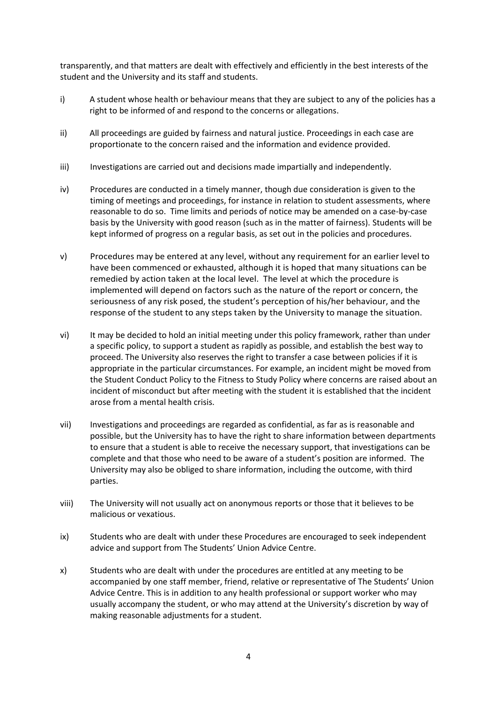transparently, and that matters are dealt with effectively and efficiently in the best interests of the student and the University and its staff and students.

- i) A student whose health or behaviour means that they are subject to any of the policies has a right to be informed of and respond to the concerns or allegations.
- ii) All proceedings are guided by fairness and natural justice. Proceedings in each case are proportionate to the concern raised and the information and evidence provided.
- iii) Investigations are carried out and decisions made impartially and independently.
- iv) Procedures are conducted in a timely manner, though due consideration is given to the timing of meetings and proceedings, for instance in relation to student assessments, where reasonable to do so. Time limits and periods of notice may be amended on a case-by-case basis by the University with good reason (such as in the matter of fairness). Students will be kept informed of progress on a regular basis, as set out in the policies and procedures.
- v) Procedures may be entered at any level, without any requirement for an earlier level to have been commenced or exhausted, although it is hoped that many situations can be remedied by action taken at the local level. The level at which the procedure is implemented will depend on factors such as the nature of the report or concern, the seriousness of any risk posed, the student's perception of his/her behaviour, and the response of the student to any steps taken by the University to manage the situation.
- vi) It may be decided to hold an initial meeting under this policy framework, rather than under a specific policy, to support a student as rapidly as possible, and establish the best way to proceed. The University also reserves the right to transfer a case between policies if it is appropriate in the particular circumstances. For example, an incident might be moved from the Student Conduct Policy to the Fitness to Study Policy where concerns are raised about an incident of misconduct but after meeting with the student it is established that the incident arose from a mental health crisis.
- vii) Investigations and proceedings are regarded as confidential, as far as is reasonable and possible, but the University has to have the right to share information between departments to ensure that a student is able to receive the necessary support, that investigations can be complete and that those who need to be aware of a student's position are informed. The University may also be obliged to share information, including the outcome, with third parties.
- viii) The University will not usually act on anonymous reports or those that it believes to be malicious or vexatious.
- ix) Students who are dealt with under these Procedures are encouraged to seek independent advice and support from The Students' Union Advice Centre.
- x) Students who are dealt with under the procedures are entitled at any meeting to be accompanied by one staff member, friend, relative or representative of The Students' Union Advice Centre. This is in addition to any health professional or support worker who may usually accompany the student, or who may attend at the University's discretion by way of making reasonable adjustments for a student.